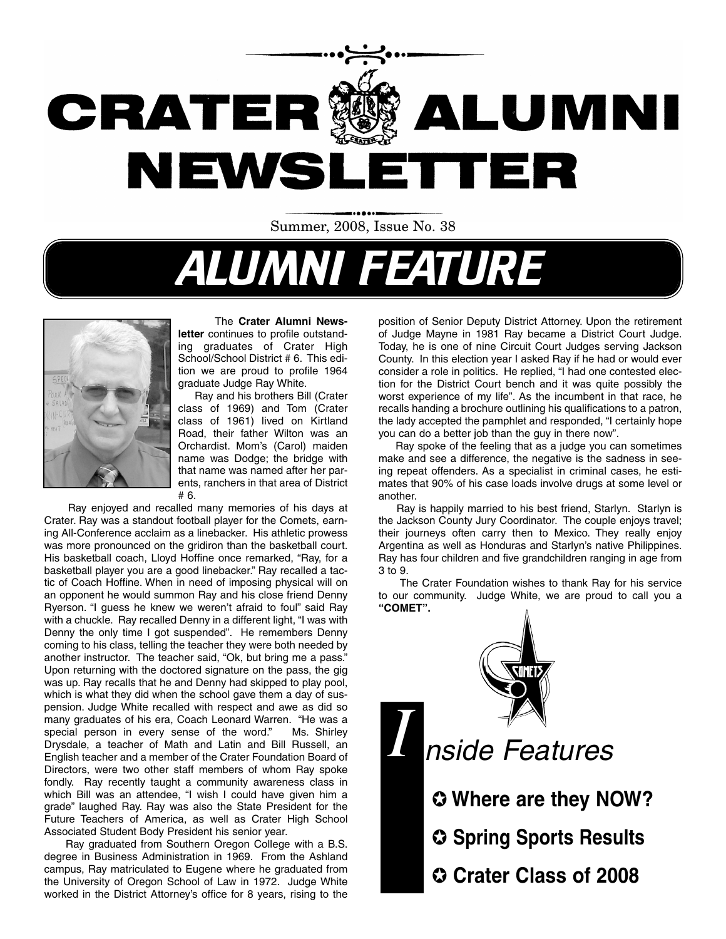

Summer, 2008, Issue No. 38

# ALUMNI FEATURE



#### The **Crater Alumni News-**

**letter** continues to profile outstanding graduates of Crater High School/School District # 6. This edition we are proud to profile 1964 graduate Judge Ray White.

Ray and his brothers Bill (Crater class of 1969) and Tom (Crater class of 1961) lived on Kirtland Road, their father Wilton was an Orchardist. Mom's (Carol) maiden name was Dodge; the bridge with that name was named after her parents, ranchers in that area of District # 6.

Ray enjoyed and recalled many memories of his days at Crater. Ray was a standout football player for the Comets, earning All-Conference acclaim as a linebacker. His athletic prowess was more pronounced on the gridiron than the basketball court. His basketball coach, Lloyd Hoffine once remarked, "Ray, for a basketball player you are a good linebacker." Ray recalled a tactic of Coach Hoffine. When in need of imposing physical will on an opponent he would summon Ray and his close friend Denny Ryerson. "I guess he knew we weren't afraid to foul" said Ray with a chuckle. Ray recalled Denny in a different light, "I was with Denny the only time I got suspended". He remembers Denny coming to his class, telling the teacher they were both needed by another instructor. The teacher said, "Ok, but bring me a pass." Upon returning with the doctored signature on the pass, the gig was up. Ray recalls that he and Denny had skipped to play pool, which is what they did when the school gave them a day of suspension. Judge White recalled with respect and awe as did so many graduates of his era, Coach Leonard Warren. "He was a special person in every sense of the word." Ms. Shirley Drysdale, a teacher of Math and Latin and Bill Russell, an English teacher and a member of the Crater Foundation Board of Directors, were two other staff members of whom Ray spoke fondly. Ray recently taught a community awareness class in which Bill was an attendee, "I wish I could have given him a grade" laughed Ray. Ray was also the State President for the Future Teachers of America, as well as Crater High School Associated Student Body President his senior year.

Ray graduated from Southern Oregon College with a B.S. degree in Business Administration in 1969. From the Ashland campus, Ray matriculated to Eugene where he graduated from the University of Oregon School of Law in 1972. Judge White worked in the District Attorney's office for 8 years, rising to the position of Senior Deputy District Attorney. Upon the retirement of Judge Mayne in 1981 Ray became a District Court Judge. Today, he is one of nine Circuit Court Judges serving Jackson County. In this election year I asked Ray if he had or would ever consider a role in politics. He replied, "I had one contested election for the District Court bench and it was quite possibly the worst experience of my life". As the incumbent in that race, he recalls handing a brochure outlining his qualifications to a patron, the lady accepted the pamphlet and responded, "I certainly hope you can do a better job than the guy in there now".

Ray spoke of the feeling that as a judge you can sometimes make and see a difference, the negative is the sadness in seeing repeat offenders. As a specialist in criminal cases, he estimates that 90% of his case loads involve drugs at some level or another.

Ray is happily married to his best friend, Starlyn. Starlyn is the Jackson County Jury Coordinator. The couple enjoys travel; their journeys often carry then to Mexico. They really enjoy Argentina as well as Honduras and Starlyn's native Philippines. Ray has four children and five grandchildren ranging in age from 3 to 9.

The Crater Foundation wishes to thank Ray for his service to our community. Judge White, we are proud to call you a **"COMET".**



*I* nside Features

✪ **Where are they NOW?**

✪ **Spring Sports Results**

✪ **Crater Class of 2008**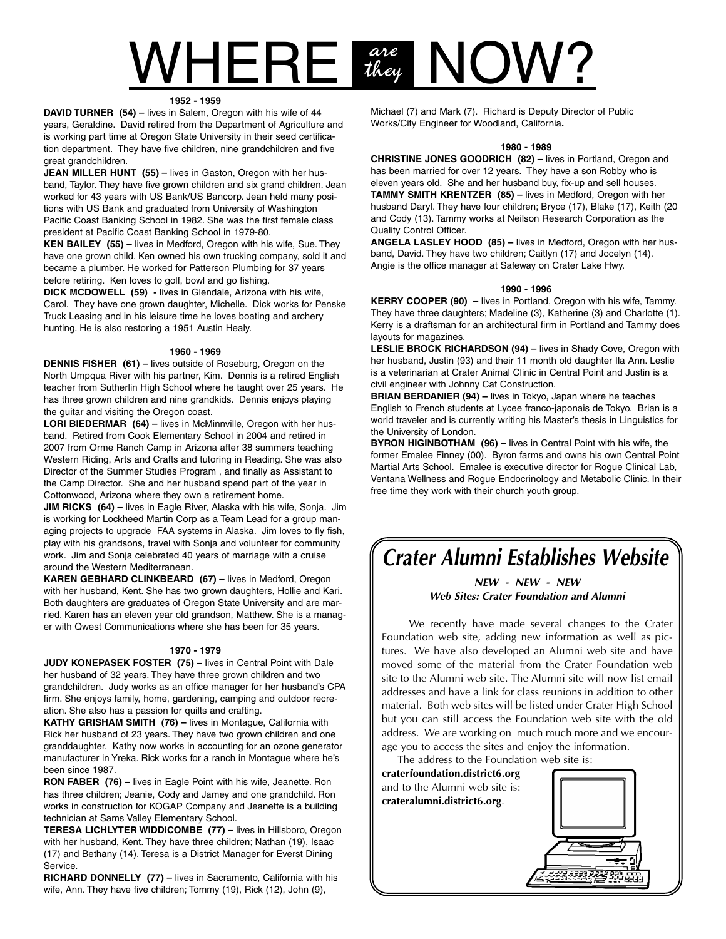# $\mathsf{WHERE}$  are  $\mathsf{NOW?}$ are<br>they

#### **1952 - 1959**

**DAVID TURNER (54) –** lives in Salem, Oregon with his wife of 44 years, Geraldine. David retired from the Department of Agriculture and is working part time at Oregon State University in their seed certification department. They have five children, nine grandchildren and five great grandchildren.

**JEAN MILLER HUNT (55) –** lives in Gaston, Oregon with her husband, Taylor. They have five grown children and six grand children. Jean worked for 43 years with US Bank/US Bancorp. Jean held many positions with US Bank and graduated from University of Washington Pacific Coast Banking School in 1982. She was the first female class president at Pacific Coast Banking School in 1979-80.

**KEN BAILEY (55) –** lives in Medford, Oregon with his wife, Sue. They have one grown child. Ken owned his own trucking company, sold it and became a plumber. He worked for Patterson Plumbing for 37 years before retiring. Ken loves to golf, bowl and go fishing.

**DICK MCDOWELL (59) -** lives in Glendale, Arizona with his wife, Carol. They have one grown daughter, Michelle. Dick works for Penske Truck Leasing and in his leisure time he loves boating and archery hunting. He is also restoring a 1951 Austin Healy.

#### **1960 - 1969**

**DENNIS FISHER (61) –** lives outside of Roseburg, Oregon on the North Umpqua River with his partner, Kim. Dennis is a retired English teacher from Sutherlin High School where he taught over 25 years. He has three grown children and nine grandkids. Dennis enjoys playing the guitar and visiting the Oregon coast.

**LORI BIEDERMAR (64) –** lives in McMinnville, Oregon with her husband. Retired from Cook Elementary School in 2004 and retired in 2007 from Orme Ranch Camp in Arizona after 38 summers teaching Western Riding, Arts and Crafts and tutoring in Reading. She was also Director of the Summer Studies Program , and finally as Assistant to the Camp Director. She and her husband spend part of the year in Cottonwood, Arizona where they own a retirement home.

**JIM RICKS (64) –** lives in Eagle River, Alaska with his wife, Sonja. Jim is working for Lockheed Martin Corp as a Team Lead for a group managing projects to upgrade FAA systems in Alaska. Jim loves to fly fish, play with his grandsons, travel with Sonja and volunteer for community work. Jim and Sonja celebrated 40 years of marriage with a cruise around the Western Mediterranean.

**KAREN GEBHARD CLINKBEARD (67) –** lives in Medford, Oregon with her husband, Kent. She has two grown daughters, Hollie and Kari. Both daughters are graduates of Oregon State University and are married. Karen has an eleven year old grandson, Matthew. She is a manager with Qwest Communications where she has been for 35 years.

#### **1970 - 1979**

**JUDY KONEPASEK FOSTER (75) –** lives in Central Point with Dale her husband of 32 years. They have three grown children and two grandchildren. Judy works as an office manager for her husband's CPA firm. She enjoys family, home, gardening, camping and outdoor recreation. She also has a passion for quilts and crafting.

**KATHY GRISHAM SMITH (76) –** lives in Montague, California with Rick her husband of 23 years. They have two grown children and one granddaughter. Kathy now works in accounting for an ozone generator manufacturer in Yreka. Rick works for a ranch in Montague where he's been since 1987.

**RON FABER (76) –** lives in Eagle Point with his wife, Jeanette. Ron has three children; Jeanie, Cody and Jamey and one grandchild. Ron works in construction for KOGAP Company and Jeanette is a building technician at Sams Valley Elementary School.

**TERESA LICHLYTER WIDDICOMBE (77) –** lives in Hillsboro, Oregon with her husband, Kent. They have three children; Nathan (19), Isaac (17) and Bethany (14). Teresa is a District Manager for Everst Dining Service.

**RICHARD DONNELLY (77) –** lives in Sacramento, California with his wife, Ann. They have five children; Tommy (19), Rick (12), John (9),

Michael (7) and Mark (7). Richard is Deputy Director of Public Works/City Engineer for Woodland, California**.**

#### **1980 - 1989**

**CHRISTINE JONES GOODRICH (82) –** lives in Portland, Oregon and has been married for over 12 years. They have a son Robby who is eleven years old. She and her husband buy, fix-up and sell houses. **TAMMY SMITH KRENTZER (85) –** lives in Medford, Oregon with her husband Daryl. They have four children; Bryce (17), Blake (17), Keith (20 and Cody (13). Tammy works at Neilson Research Corporation as the Quality Control Officer.

**ANGELA LASLEY HOOD (85) –** lives in Medford, Oregon with her husband, David. They have two children; Caitlyn (17) and Jocelyn (14). Angie is the office manager at Safeway on Crater Lake Hwy.

#### **1990 - 1996**

**KERRY COOPER (90) –** lives in Portland, Oregon with his wife, Tammy. They have three daughters; Madeline (3), Katherine (3) and Charlotte (1). Kerry is a draftsman for an architectural firm in Portland and Tammy does layouts for magazines.

**LESLIE BROCK RICHARDSON (94) –** lives in Shady Cove, Oregon with her husband, Justin (93) and their 11 month old daughter Ila Ann. Leslie is a veterinarian at Crater Animal Clinic in Central Point and Justin is a civil engineer with Johnny Cat Construction.

**BRIAN BERDANIER (94) –** lives in Tokyo, Japan where he teaches English to French students at Lycee franco-japonais de Tokyo. Brian is a world traveler and is currently writing his Master's thesis in Linguistics for the University of London.

**BYRON HIGINBOTHAM (96) –** lives in Central Point with his wife, the former Emalee Finney (00). Byron farms and owns his own Central Point Martial Arts School. Emalee is executive director for Rogue Clinical Lab, Ventana Wellness and Rogue Endocrinology and Metabolic Clinic. In their free time they work with their church youth group.

### **Crater Alumni Establishes Website**

#### **NEW - NEW - NEW Web Sites: Crater Foundation and Alumni**

We recently have made several changes to the Crater Foundation web site, adding new information as well as pictures. We have also developed an Alumni web site and have moved some of the material from the Crater Foundation web site to the Alumni web site. The Alumni site will now list email addresses and have a link for class reunions in addition to other material. Both web sites will be listed under Crater High School but you can still access the Foundation web site with the old address. We are working on much much more and we encourage you to access the sites and enjoy the information.

The address to the Foundation web site is:

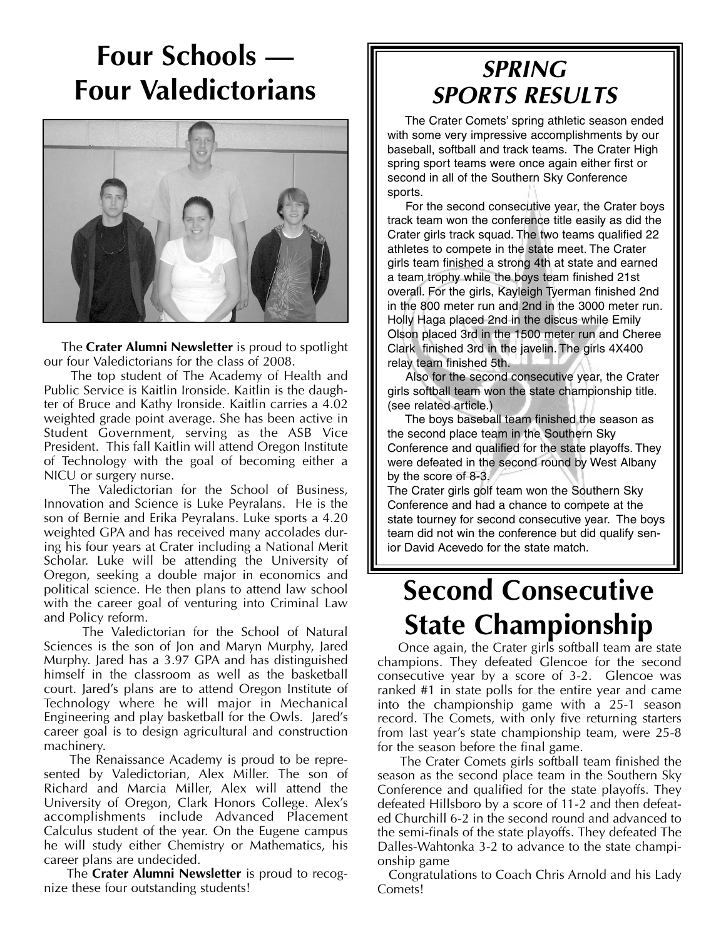# **Four Schools — Four Valedictorians**



The **Crater Alumni Newsletter** is proud to spotlight our four Valedictorians for the class of 2008.

The top student of The Academy of Health and Public Service is Kaitlin Ironside. Kaitlin is the daughter of Bruce and Kathy Ironside. Kaitlin carries a 4.02 weighted grade point average. She has been active in Student Government, serving as the ASB Vice President. This fall Kaitlin will attend Oregon Institute of Technology with the goal of becoming either a NICU or surgery nurse.

The Valedictorian for the School of Business, Innovation and Science is Luke Peyralans. He is the son of Bernie and Erika Peyralans. Luke sports a 4.20 weighted GPA and has received many accolades during his four years at Crater including a National Merit Scholar. Luke will be attending the University of Oregon, seeking a double major in economics and political science. He then plans to attend law school with the career goal of venturing into Criminal Law and Policy reform.

The Valedictorian for the School of Natural Sciences is the son of Jon and Maryn Murphy, Jared Murphy. Jared has a 3.97 GPA and has distinguished himself in the classroom as well as the basketball court. Jared's plans are to attend Oregon Institute of Technology where he will major in Mechanical Engineering and play basketball for the Owls. Jared's career goal is to design agricultural and construction machinery.

The Renaissance Academy is proud to be represented by Valedictorian, Alex Miller. The son of Richard and Marcia Miller, Alex will attend the University of Oregon, Clark Honors College. Alex's accomplishments include Advanced Placement Calculus student of the year. On the Eugene campus he will study either Chemistry or Mathematics, his career plans are undecided.

The **Crater Alumni Newsletter** is proud to recognize these four outstanding students!

### **SPRING SPORTS RESULTS**

The Crater Comets' spring athletic season ended with some very impressive accomplishments by our baseball, softball and track teams. The Crater High spring sport teams were once again either first or second in all of the Southern Sky Conference sports.

For the second consecutive year, the Crater boys track team won the conference title easily as did the Crater girls track squad. The two teams qualified 22 athletes to compete in the state meet. The Crater girls team finished a strong 4th at state and earned a team trophy while the boys team finished 21st overall. For the girls, Kayleigh Tyerman finished 2nd in the 800 meter run and 2nd in the 3000 meter run. Holly Haga placed 2nd in the discus while Emily Olson placed 3rd in the 1500 meter run and Cheree Clark finished 3rd in the javelin. The girls 4X400 relay team finished 5th.

Also for the second consecutive year, the Crater girls softball team won the state championship title. (see related article.)

The boys baseball team finished the season as the second place team in the Southern Sky Conference and qualified for the state playoffs. They were defeated in the second round by West Albany by the score of 8-3.

The Crater girls golf team won the Southern Sky Conference and had a chance to compete at the state tourney for second consecutive year. The boys team did not win the conference but did qualify senior David Acevedo for the state match.

# **Second Consecutive State Championship**

Once again, the Crater girls softball team are state champions. They defeated Glencoe for the second consecutive year by a score of 3-2. Glencoe was ranked #1 in state polls for the entire year and came into the championship game with a 25-1 season record. The Comets, with only five returning starters from last year's state championship team, were 25-8 for the season before the final game.

The Crater Comets girls softball team finished the season as the second place team in the Southern Sky Conference and qualified for the state playoffs. They defeated Hillsboro by a score of 11-2 and then defeated Churchill 6-2 in the second round and advanced to the semi-finals of the state playoffs. They defeated The Dalles-Wahtonka 3-2 to advance to the state championship game

Congratulations to Coach Chris Arnold and his Lady Comets!